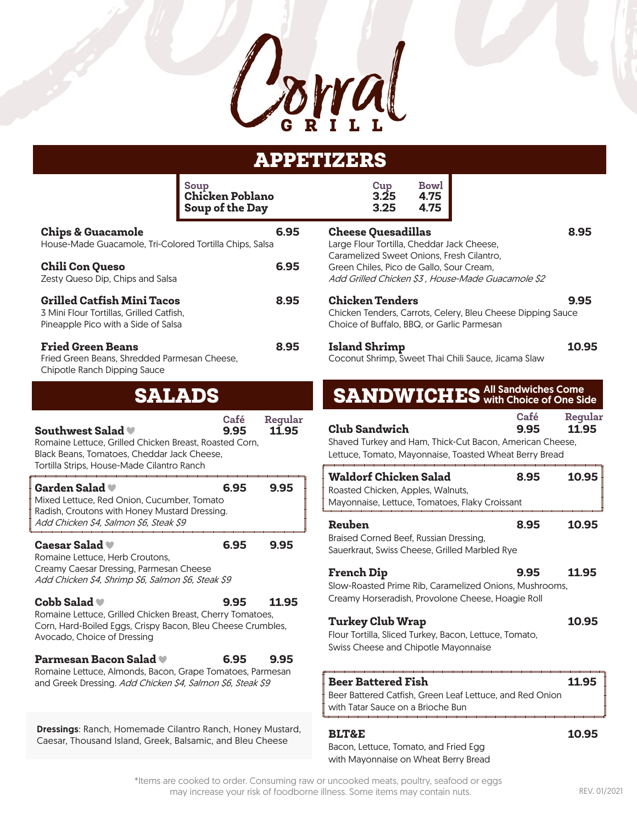

# APPETIZERS

|                                                                                                                                                                                                        | Soup<br><b>Chicken Poblano</b><br>Soup of the Day | <b>Bowl</b><br>Cup<br>3.25<br>4.75<br>3.25<br>4.75                                                                                         |                                  |
|--------------------------------------------------------------------------------------------------------------------------------------------------------------------------------------------------------|---------------------------------------------------|--------------------------------------------------------------------------------------------------------------------------------------------|----------------------------------|
| <b>Chips &amp; Guacamole</b><br>House-Made Guacamole, Tri-Colored Tortilla Chips, Salsa                                                                                                                | 6.95                                              | <b>Cheese Quesadillas</b><br>Large Flour Tortilla, Cheddar Jack Cheese,                                                                    | 8.95                             |
| <b>Chili Con Queso</b><br>Zesty Queso Dip, Chips and Salsa                                                                                                                                             | 6.95                                              | Caramelized Sweet Onions, Fresh Cilantro,<br>Green Chiles, Pico de Gallo, Sour Cream,<br>Add Grilled Chicken \$3, House-Made Guacamole \$2 |                                  |
| <b>Grilled Catfish Mini Tacos</b><br>3 Mini Flour Tortillas, Grilled Catfish,<br>Pineapple Pico with a Side of Salsa                                                                                   | 8.95                                              | <b>Chicken Tenders</b><br>Chicken Tenders, Carrots, Celery, Bleu Cheese Dipping Sauce<br>Choice of Buffalo, BBQ, or Garlic Parmesan        | 9.95                             |
| <b>Fried Green Beans</b><br>Fried Green Beans, Shredded Parmesan Cheese,<br>Chipotle Ranch Dipping Sauce                                                                                               | 8.95                                              | <b>Island Shrimp</b><br>Coconut Shrimp, Sweet Thai Chili Sauce, Jicama Slaw                                                                | 10.95                            |
| <b>SALADS</b>                                                                                                                                                                                          |                                                   | <b>SANDWICHES</b> All Sandwiches Come Side                                                                                                 |                                  |
| Southwest Salad<br>Romaine Lettuce, Grilled Chicken Breast, Roasted Corn,<br>Black Beans, Tomatoes, Cheddar Jack Cheese,<br>Tortilla Strips, House-Made Cilantro Ranch                                 | Regular<br><b>Café</b><br>9.95<br>11.95           | <b>Club Sandwich</b><br>Shaved Turkey and Ham, Thick-Cut Bacon, American Cheese,<br>Lettuce, Tomato, Mayonnaise, Toasted Wheat Berry Bread | Café<br>Regular<br>11.95<br>9.95 |
| Garden Salad ♥<br>Mixed Lettuce, Red Onion, Cucumber, Tomato<br>Radish, Croutons with Honey Mustard Dressing.                                                                                          | 6.95<br>9.95                                      | <b>Waldorf Chicken Salad</b><br>Roasted Chicken, Apples, Walnuts,<br>Mayonnaise, Lettuce, Tomatoes, Flaky Croissant                        | 10.95<br>8.95                    |
| Add Chicken \$4, Salmon \$6, Steak \$9<br>Caesar Salad ♥<br>Romaine Lettuce, Herb Croutons,                                                                                                            | 6.95<br>9.95                                      | Reuben<br>Braised Corned Beef, Russian Dressing,<br>Sauerkraut, Swiss Cheese, Grilled Marbled Rye                                          | 8.95<br>10.95                    |
| Creamy Caesar Dressing, Parmesan Cheese<br>Add Chicken \$4, Shrimp \$6, Salmon \$6, Steak \$9                                                                                                          |                                                   | <b>French Dip</b><br>Slow-Roasted Prime Rib, Caramelized Onions, Mushrooms,<br>Creamy Horseradish, Provolone Cheese, Hoagie Roll           | 11.95<br>9.95                    |
| Cobb Salad<br>Romaine Lettuce, Grilled Chicken Breast, Cherry Tomatoes,<br>Corn, Hard-Boiled Eggs, Crispy Bacon, Bleu Cheese Crumbles,<br>Avocado, Choice of Dressing<br><b>Parmesan Bacon Salad ♥</b> | 11.95<br>9.95<br>9.95<br>6.95                     | <b>Turkey Club Wrap</b><br>Flour Tortilla, Sliced Turkey, Bacon, Lettuce, Tomato,<br>Swiss Cheese and Chipotle Mayonnaise                  | 10.95                            |
| Romaine Lettuce, Almonds, Bacon, Grape Tomatoes, Parmesan<br>and Greek Dressing. Add Chicken \$4, Salmon \$6, Steak \$9                                                                                |                                                   | <b>Beer Battered Fish</b><br>Beer Battered Catfish, Green Leaf Lettuce, and Red Onion<br>with Tatar Sauce on a Brioche Bun                 | 11.95                            |
| Dressings: Ranch, Homemade Cilantro Ranch, Honey Mustard,<br>Caesar, Thousand Island, Greek, Balsamic, and Bleu Cheese                                                                                 |                                                   | <b>BLT&amp;E</b><br>Lottuge Tomate and Erical                                                                                              | 10.95                            |

Bacon, Lettuce, Tomato, and Fried Egg with Mayonnaise on Wheat Berry Bread

\*Items are cooked to order. Consuming raw or uncooked meats, poultry, seafood or eggs may increase your risk of foodborne illness. Some items may contain nuts. REV. 01/2021